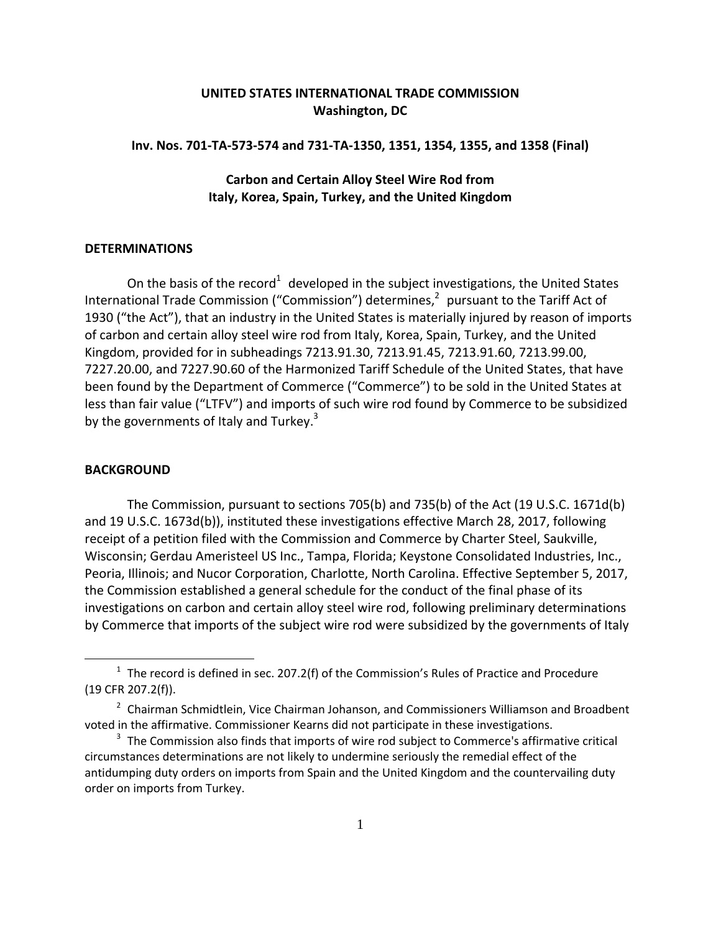## **UNITED STATES INTERNATIONAL TRADE COMMISSION Washington, DC**

## **Inv. Nos. 701‐TA‐573‐574 and 731‐TA‐1350, 1351, 1354, 1355, and 1358 (Final)**

**Carbon and Certain Alloy Steel Wire Rod from Italy, Korea, Spain, Turkey, and the United Kingdom**

## **DETERMINATIONS**

On the basis of the record<sup>1</sup> developed in the subject investigations, the United States International Trade Commission ("Commission") determines, $<sup>2</sup>$  pursuant to the Tariff Act of</sup> 1930 ("the Act"), that an industry in the United States is materially injured by reason of imports of carbon and certain alloy steel wire rod from Italy, Korea, Spain, Turkey, and the United Kingdom, provided for in subheadings 7213.91.30, 7213.91.45, 7213.91.60, 7213.99.00, 7227.20.00, and 7227.90.60 of the Harmonized Tariff Schedule of the United States, that have been found by the Department of Commerce ("Commerce") to be sold in the United States at less than fair value ("LTFV") and imports of such wire rod found by Commerce to be subsidized by the governments of Italy and Turkey. $3$ 

## **BACKGROUND**

1

The Commission, pursuant to sections 705(b) and 735(b) of the Act (19 U.S.C. 1671d(b) and 19 U.S.C. 1673d(b)), instituted these investigations effective March 28, 2017, following receipt of a petition filed with the Commission and Commerce by Charter Steel, Saukville, Wisconsin; Gerdau Ameristeel US Inc., Tampa, Florida; Keystone Consolidated Industries, Inc., Peoria, Illinois; and Nucor Corporation, Charlotte, North Carolina. Effective September 5, 2017, the Commission established a general schedule for the conduct of the final phase of its investigations on carbon and certain alloy steel wire rod, following preliminary determinations by Commerce that imports of the subject wire rod were subsidized by the governments of Italy

 $1$  The record is defined in sec. 207.2(f) of the Commission's Rules of Practice and Procedure (19 CFR 207.2(f)).

<sup>&</sup>lt;sup>2</sup> Chairman Schmidtlein, Vice Chairman Johanson, and Commissioners Williamson and Broadbent voted in the affirmative. Commissioner Kearns did not participate in these investigations.

 $3$  The Commission also finds that imports of wire rod subject to Commerce's affirmative critical circumstances determinations are not likely to undermine seriously the remedial effect of the antidumping duty orders on imports from Spain and the United Kingdom and the countervailing duty order on imports from Turkey.